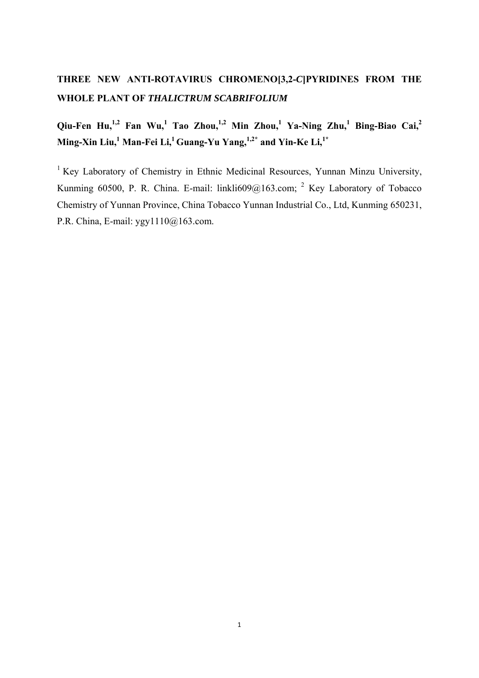# **THREE NEW ANTI-ROTAVIRUS CHROMENO[3,2-***C***]PYRIDINES FROM THE WHOLE PLANT OF** *THALICTRUM SCABRIFOLIUM*

Qiu-Fen Hu,<sup>1,2</sup> Fan Wu,<sup>1</sup> Tao Zhou,<sup>1,2</sup> Min Zhou,<sup>1</sup> Ya-Ning Zhu,<sup>1</sup> Bing-Biao Cai,<sup>2</sup> Ming-Xin Liu,<sup>1</sup> Man-Fei Li,<sup>1</sup> Guang-Yu Yang,<sup>1,2\*</sup> and Yin-Ke Li,<sup>1\*</sup>

<sup>1</sup> Key Laboratory of Chemistry in Ethnic Medicinal Resources, Yunnan Minzu University, Kunming 60500, P. R. China. E-mail: linkli609@163.com; <sup>2</sup> Key Laboratory of Tobacco Chemistry of Yunnan Province, China Tobacco Yunnan Industrial Co., Ltd, Kunming 650231, P.R. China, E-mail: ygy1110@163.com.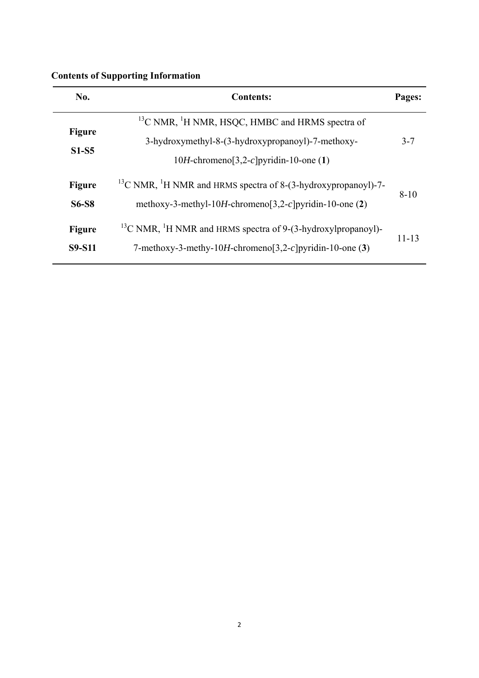| No.                            | <b>Contents:</b>                                                                                                                                            | Pages:    |
|--------------------------------|-------------------------------------------------------------------------------------------------------------------------------------------------------------|-----------|
| <b>Figure</b><br>$S1-S5$       | $^{13}$ C NMR, $^{1}$ H NMR, HSQC, HMBC and HRMS spectra of<br>3-hydroxymethyl-8-(3-hydroxypropanoyl)-7-methoxy-<br>10H-chromeno[3,2-c]pyridin-10-one $(1)$ | $3 - 7$   |
| <b>Figure</b><br><b>S6-S8</b>  | $^{13}$ C NMR, <sup>1</sup> H NMR and HRMS spectra of 8-(3-hydroxypropanoyl)-7-<br>methoxy-3-methyl-10H-chromeno[3,2-c]pyridin-10-one $(2)$                 | $8-10$    |
| <b>Figure</b><br><b>S9-S11</b> | $^{13}$ C NMR, <sup>1</sup> H NMR and HRMS spectra of 9-(3-hydroxylpropanoyl)-<br>7-methoxy-3-methy-10H-chromeno[3,2-c]pyridin-10-one $(3)$                 | $11 - 13$ |

## **Contents of Supporting Information**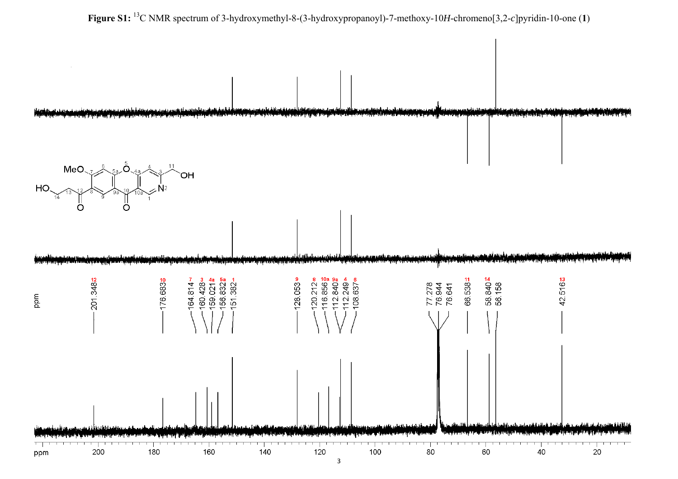

**Figure S1:** 13C NMR spectrum of 3-hydroxymethyl-8-(3-hydroxypropanoyl)-7-methoxy-10*H*-chromeno[3,2-*c*]pyridin-10-one (**1**)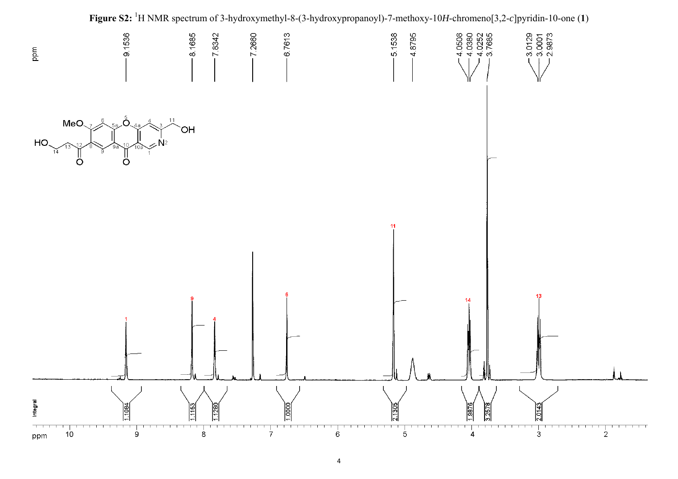

4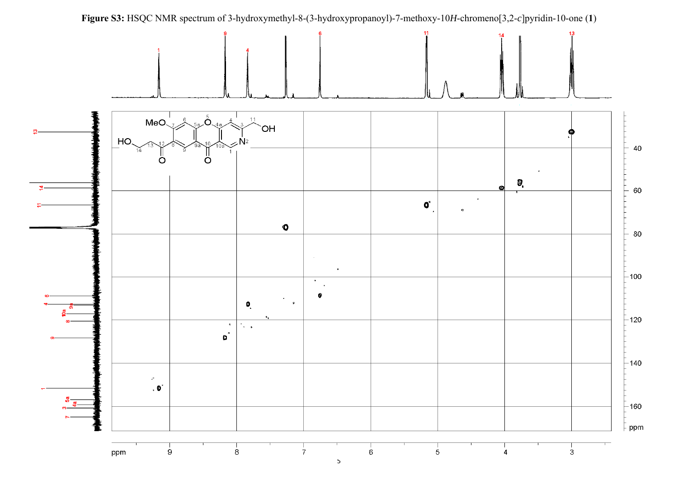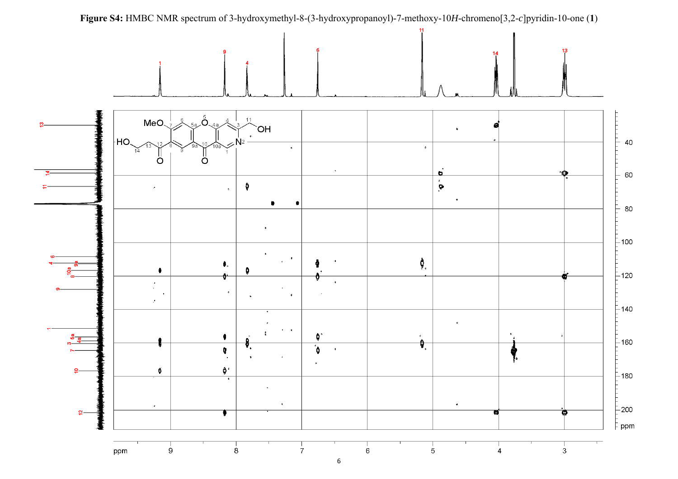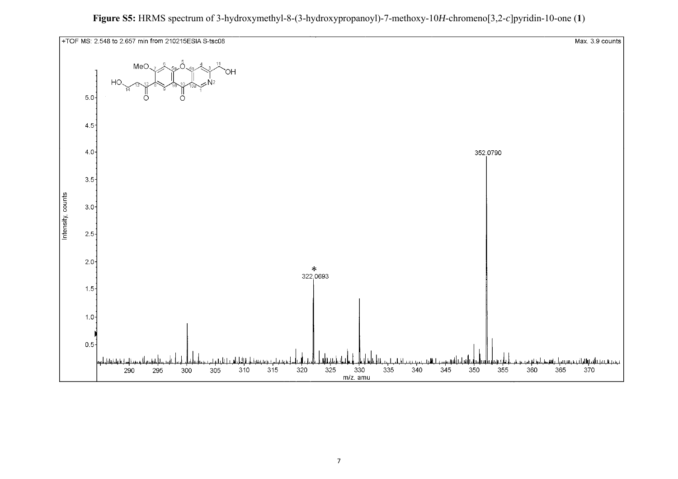

**Figure S5:** HRMS spectrum of 3-hydroxymethyl-8-(3-hydroxypropanoyl)-7-methoxy-10*H*-chromeno[3,2-*c*]pyridin-10-one (**1**)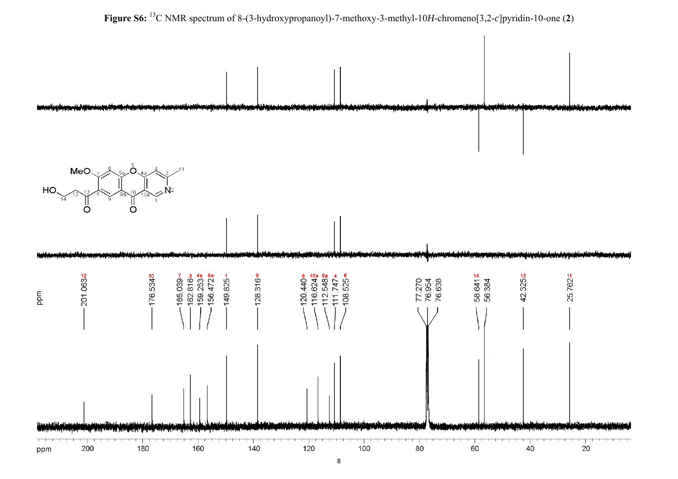

**Figure S6:** 13C NMR spectrum of 8-(3-hydroxypropanoyl)-7-methoxy-3-methyl-10*H*-chromeno[3,2-*c*]pyridin-10-one (**2**)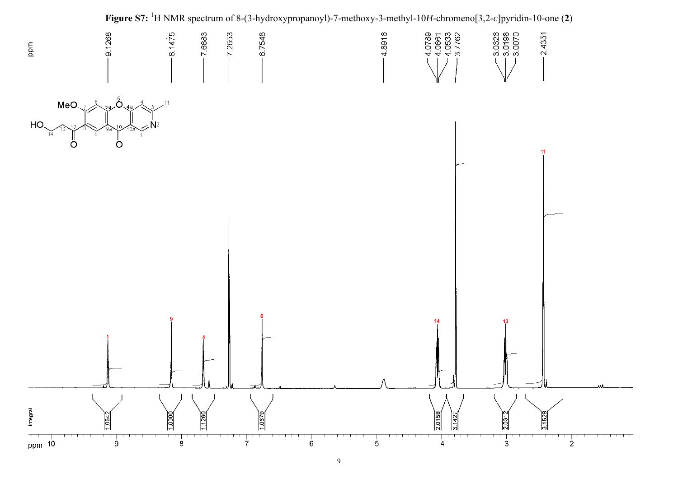

9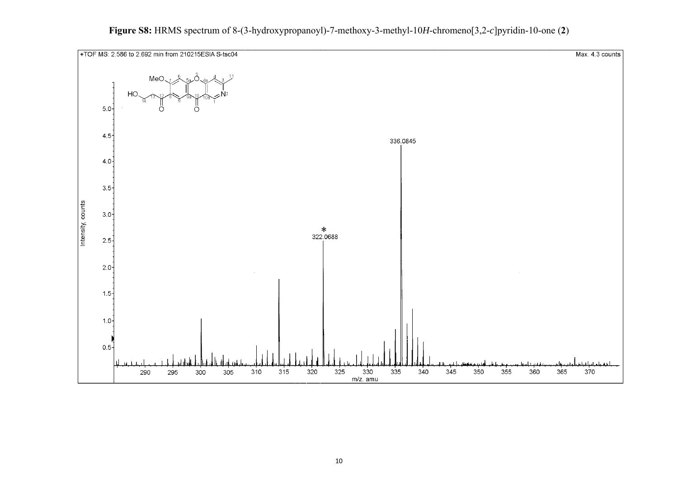

### **Figure S8:** HRMS spectrum of 8-(3-hydroxypropanoyl)-7-methoxy-3-methyl-10*H*-chromeno[3,2-*c*]pyridin-10-one (**2**)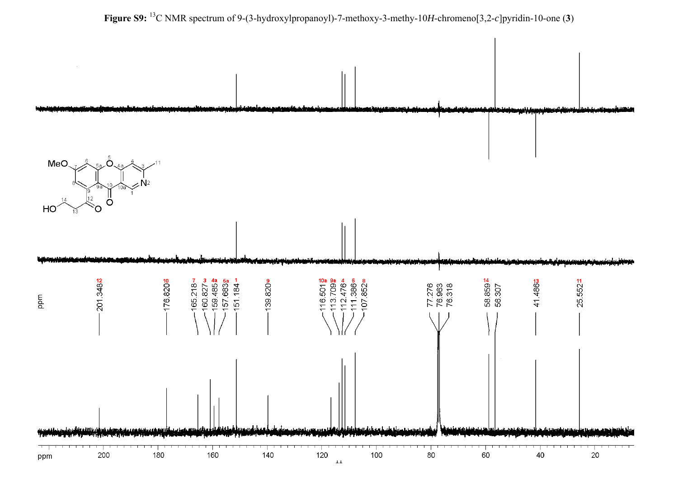

**Figure S9:** 13C NMR spectrum of 9-(3-hydroxylpropanoyl)-7-methoxy-3-methy-10*H*-chromeno[3,2-*c*]pyridin-10-one (**3**)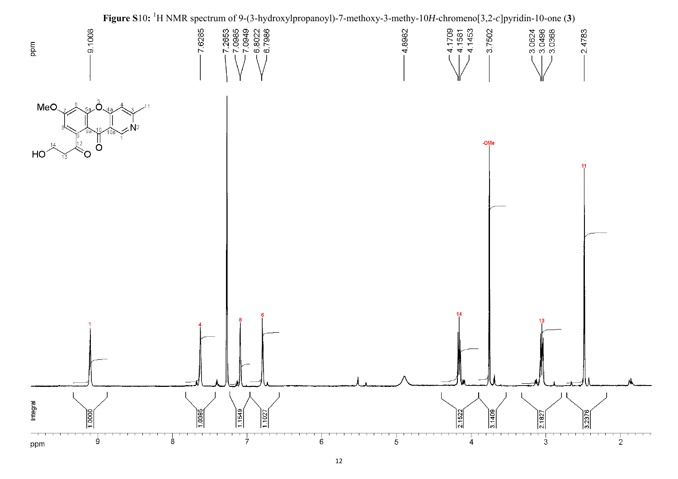